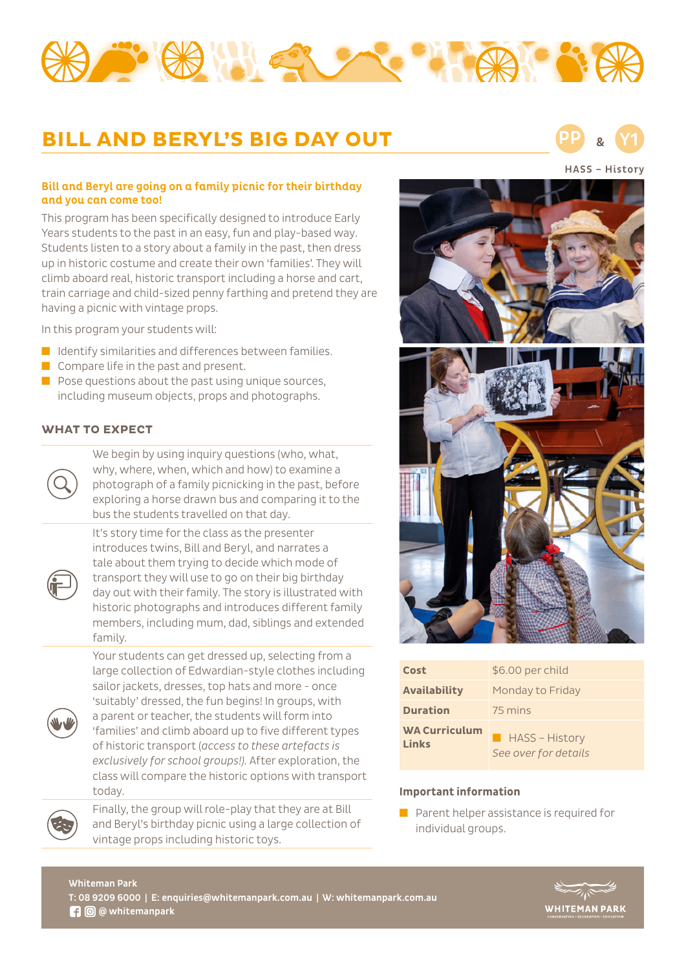

# **BILL AND BERYL'S BIG DAY OUT**

HASS – History PP & Y1

### Bill and Beryl are going on a family picnic for their birthday and you can come too!

This program has been specifically designed to introduce Early Years students to the past in an easy, fun and play-based way. Students listen to a story about a family in the past, then dress up in historic costume and create their own 'families'. They will climb aboard real, historic transport including a horse and cart, train carriage and child-sized penny farthing and pretend they are having a picnic with vintage props.

In this program your students will:

- Identify similarities and differences between families.
- Compare life in the past and present.
- $\blacksquare$  Pose questions about the past using unique sources, including museum objects, props and photographs.

## **WHAT TO EXPECT**



We begin by using inquiry questions (who, what, why, where, when, which and how) to examine a photograph of a family picnicking in the past, before exploring a horse drawn bus and comparing it to the bus the students travelled on that day.

It's story time for the class as the presenter



introduces twins, Bill and Beryl, and narrates a tale about them trying to decide which mode of transport they will use to go on their big birthday day out with their family. The story is illustrated with historic photographs and introduces different family members, including mum, dad, siblings and extended family.

Your students can get dressed up, selecting from a large collection of Edwardian-style clothes including sailor jackets, dresses, top hats and more - once



'suitably' dressed, the fun begins! In groups, with a parent or teacher, the students will form into 'families' and climb aboard up to five different types of historic transport (*access to these artefacts is exclusively for school groups!).* After exploration, the class will compare the historic options with transport today.



Finally, the group will role-play that they are at Bill and Beryl's birthday picnic using a large collection of vintage props including historic toys.



| Cost                          | \$6.00 per child                            |
|-------------------------------|---------------------------------------------|
| <b>Availability</b>           | Monday to Friday                            |
| <b>Duration</b>               | 75 mins                                     |
| <b>WA Curriculum</b><br>Links | <b>HASS-History</b><br>See over for details |

#### **Important information**

■ Parent helper assistance is required for individual groups.